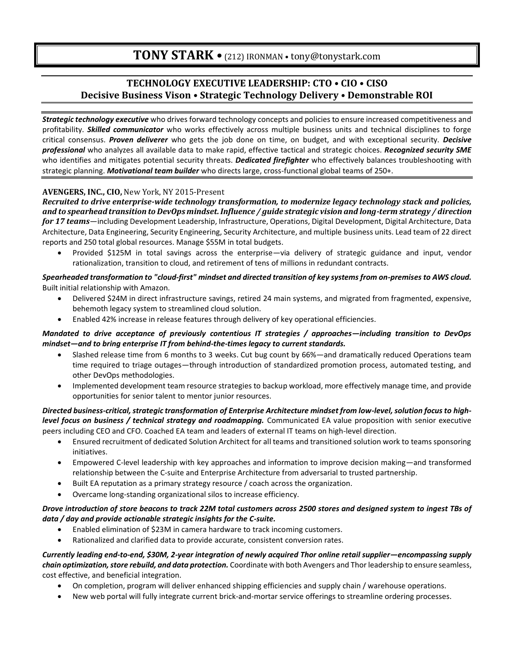## **TECHNOLOGY EXECUTIVE LEADERSHIP: CTO • CIO • CISO Decisive Business Vison • Strategic Technology Delivery • Demonstrable ROI**

*Strategic technology executive* who drives forward technology concepts and policies to ensure increased competitiveness and profitability. *Skilled communicator* who works effectively across multiple business units and technical disciplines to forge critical consensus. *Proven deliverer* who gets the job done on time, on budget, and with exceptional security. *Decisive professional* who analyzes all available data to make rapid, effective tactical and strategic choices. *Recognized security SME* who identifies and mitigates potential security threats. *Dedicated firefighter* who effectively balances troubleshooting with strategic planning. *Motivational team builder* who directs large, cross-functional global teams of 250+.

#### **AVENGERS, INC., CIO,** New York, NY 2015-Present

*Recruited to drive enterprise-wide technology transformation, to modernize legacy technology stack and policies, and to spearhead transition to DevOps mindset. Influence / guide strategic vision and long-term strategy / direction for 17 teams*—including Development Leadership, Infrastructure, Operations, Digital Development, Digital Architecture, Data Architecture, Data Engineering, Security Engineering, Security Architecture, and multiple business units. Lead team of 22 direct reports and 250 total global resources. Manage \$55M in total budgets.

• Provided \$125M in total savings across the enterprise—via delivery of strategic guidance and input, vendor rationalization, transition to cloud, and retirement of tens of millions in redundant contracts.

#### *Spearheaded transformation to "cloud-first" mindset and directed transition of key systems from on-premises to AWS cloud.* Built initial relationship with Amazon.

- Delivered \$24M in direct infrastructure savings, retired 24 main systems, and migrated from fragmented, expensive, behemoth legacy system to streamlined cloud solution.
- Enabled 42% increase in release features through delivery of key operational efficiencies.

#### *Mandated to drive acceptance of previously contentious IT strategies / approaches—including transition to DevOps mindset—and to bring enterprise IT from behind-the-times legacy to current standards.*

- Slashed release time from 6 months to 3 weeks. Cut bug count by 66%—and dramatically reduced Operations team time required to triage outages—through introduction of standardized promotion process, automated testing, and other DevOps methodologies.
- Implemented development team resource strategies to backup workload, more effectively manage time, and provide opportunities for senior talent to mentor junior resources.

#### *Directed business-critical, strategic transformation of Enterprise Architecture mindset from low-level, solution focus to highlevel focus on business / technical strategy and roadmapping.* Communicated EA value proposition with senior executive peers including CEO and CFO. Coached EA team and leaders of external IT teams on high-level direction.

- Ensured recruitment of dedicated Solution Architect for all teams and transitioned solution work to teams sponsoring initiatives.
- Empowered C-level leadership with key approaches and information to improve decision making—and transformed relationship between the C-suite and Enterprise Architecture from adversarial to trusted partnership.
- Built EA reputation as a primary strategy resource / coach across the organization.
- Overcame long-standing organizational silos to increase efficiency.

#### *Drove introduction of store beacons to track 22M total customers across 2500 stores and designed system to ingest TBs of data / day and provide actionable strategic insights for the C-suite.*

- Enabled elimination of \$23M in camera hardware to track incoming customers.
- Rationalized and clarified data to provide accurate, consistent conversion rates.

*Currently leading end-to-end, \$30M, 2-year integration of newly acquired Thor online retail supplier—encompassing supply chain optimization, store rebuild, and data protection.* Coordinate with both Avengers and Thor leadership to ensure seamless, cost effective, and beneficial integration.

- On completion, program will deliver enhanced shipping efficiencies and supply chain / warehouse operations.
- New web portal will fully integrate current brick-and-mortar service offerings to streamline ordering processes.